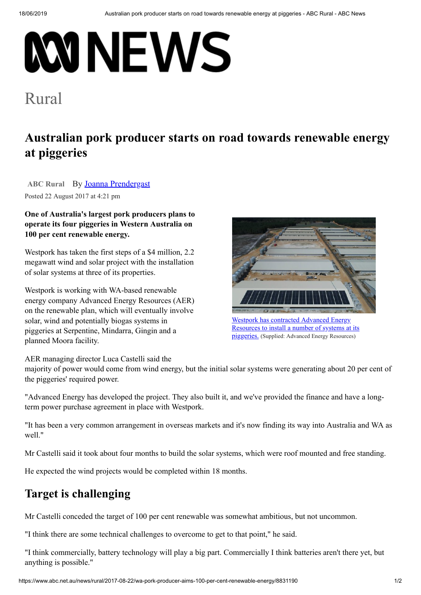# **MNEWS**

# [Rural](https://www.abc.net.au/news/rural/)

# **Australian pork producer starts on road towards renewable energy at piggeries**

ABC [Rural](https://www.abc.net.au/news/rural/) By **[Joanna Prendergast](https://www.abc.net.au/news/rural/prendergast-joanna/4934178)** Posted 22 August 2017 at 4:21 pm

### **One of Australia's largest pork producers plans to operate its four piggeries in Western Australia on 100 per cent renewable energy.**

Westpork has taken the first steps of a \$4 million, 2.2 megawatt wind and solar project with the installation of solar systems at three of its properties.

Westpork is working with WA-based renewable energy company Advanced Energy Resources (AER) on the renewable plan, which will eventually involve solar, wind and potentially biogas systems in piggeries at Serpentine, Mindarra, Gingin and a planned Moora facility.



Resources to install a number of systems at its piggeries. (Supplied: Advanced Energy Resources)

AER managing director Luca Castelli said the

majority of power would come from wind energy, but the initial solar systems were generating about 20 per cent of the piggeries' required power.

"Advanced Energy has developed the project. They also built it, and we've provided the finance and have a longterm power purchase agreement in place with Westpork.

"It has been a very common arrangement in overseas markets and it's now finding its way into Australia and WA as well."

Mr Castelli said it took about four months to build the solar systems, which were roof mounted and free standing.

He expected the wind projects would be completed within 18 months.

## **Target is challenging**

Mr Castelli conceded the target of 100 per cent renewable was somewhat ambitious, but not uncommon.

"I think there are some technical challenges to overcome to get to that point," he said.

"I think commercially, battery technology will play a big part. Commercially I think batteries aren't there yet, but anything is possible."